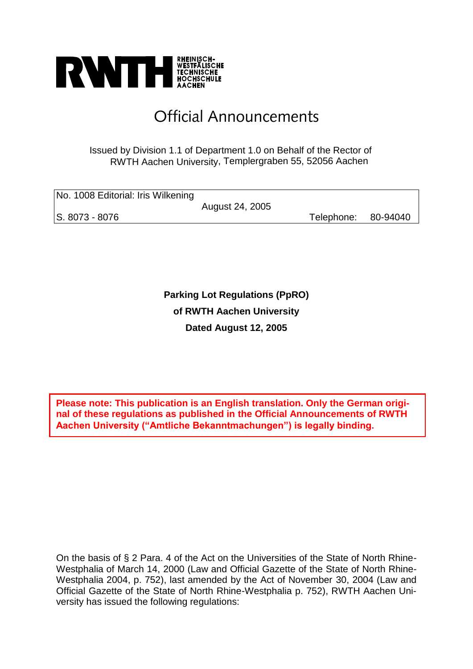

# Official Announcements

#### Issued by Division 1.1 of Department 1.0 on Behalf of the Rector of RWTH Aachen University, Templergraben 55, 52056 Aachen

| No. 1008 Editorial: Iris Wilkening |                 |            |          |
|------------------------------------|-----------------|------------|----------|
|                                    | August 24, 2005 |            |          |
| S. 8073 - 8076                     |                 | Telephone: | 80-94040 |

**Parking Lot Regulations (PpRO) of RWTH Aachen University Dated August 12, 2005** 

**Please note: This publication is an English translation. Only the German original of these regulations as published in the Official Announcements of RWTH Aachen University ("Amtliche Bekanntmachungen") is legally binding.**

On the basis of § 2 Para. 4 of the Act on the Universities of the State of North Rhine-Westphalia of March 14, 2000 (Law and Official Gazette of the State of North Rhine-Westphalia 2004, p. 752), last amended by the Act of November 30, 2004 (Law and Official Gazette of the State of North Rhine-Westphalia p. 752), RWTH Aachen University has issued the following regulations: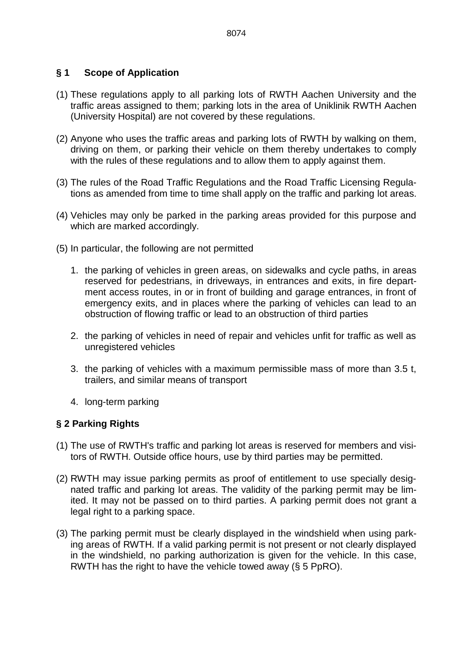# **§ 1 Scope of Application**

- (1) These regulations apply to all parking lots of RWTH Aachen University and the traffic areas assigned to them; parking lots in the area of Uniklinik RWTH Aachen (University Hospital) are not covered by these regulations.
- (2) Anyone who uses the traffic areas and parking lots of RWTH by walking on them, driving on them, or parking their vehicle on them thereby undertakes to comply with the rules of these regulations and to allow them to apply against them.
- (3) The rules of the Road Traffic Regulations and the Road Traffic Licensing Regulations as amended from time to time shall apply on the traffic and parking lot areas.
- (4) Vehicles may only be parked in the parking areas provided for this purpose and which are marked accordingly.
- (5) In particular, the following are not permitted
	- 1. the parking of vehicles in green areas, on sidewalks and cycle paths, in areas reserved for pedestrians, in driveways, in entrances and exits, in fire department access routes, in or in front of building and garage entrances, in front of emergency exits, and in places where the parking of vehicles can lead to an obstruction of flowing traffic or lead to an obstruction of third parties
	- 2. the parking of vehicles in need of repair and vehicles unfit for traffic as well as unregistered vehicles
	- 3. the parking of vehicles with a maximum permissible mass of more than 3.5 t, trailers, and similar means of transport
	- 4. long-term parking

#### **§ 2 Parking Rights**

- (1) The use of RWTH's traffic and parking lot areas is reserved for members and visitors of RWTH. Outside office hours, use by third parties may be permitted.
- (2) RWTH may issue parking permits as proof of entitlement to use specially designated traffic and parking lot areas. The validity of the parking permit may be limited. It may not be passed on to third parties. A parking permit does not grant a legal right to a parking space.
- (3) The parking permit must be clearly displayed in the windshield when using parking areas of RWTH. If a valid parking permit is not present or not clearly displayed in the windshield, no parking authorization is given for the vehicle. In this case, RWTH has the right to have the vehicle towed away (§ 5 PpRO).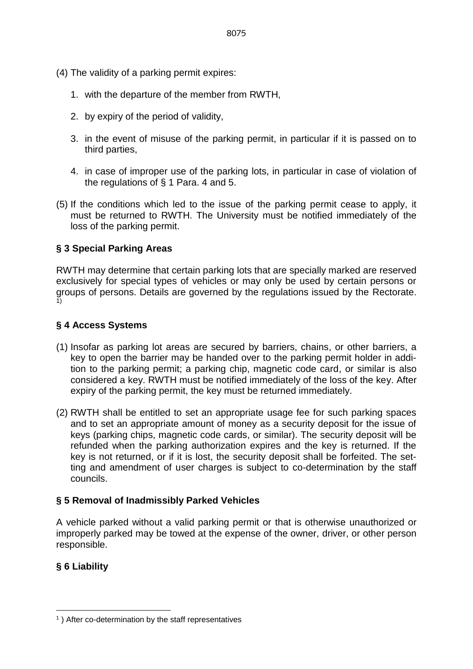- (4) The validity of a parking permit expires:
	- 1. with the departure of the member from RWTH,
	- 2. by expiry of the period of validity,
	- 3. in the event of misuse of the parking permit, in particular if it is passed on to third parties,
	- 4. in case of improper use of the parking lots, in particular in case of violation of the regulations of § 1 Para. 4 and 5.
- (5) If the conditions which led to the issue of the parking permit cease to apply, it must be returned to RWTH. The University must be notified immediately of the loss of the parking permit.

# **§ 3 Special Parking Areas**

RWTH may determine that certain parking lots that are specially marked are reserved exclusively for special types of vehicles or may only be used by certain persons or groups of persons. Details are governed by the regulations issued by the Rectorate. 1)

#### **§ 4 Access Systems**

- (1) Insofar as parking lot areas are secured by barriers, chains, or other barriers, a key to open the barrier may be handed over to the parking permit holder in addition to the parking permit; a parking chip, magnetic code card, or similar is also considered a key. RWTH must be notified immediately of the loss of the key. After expiry of the parking permit, the key must be returned immediately.
- (2) RWTH shall be entitled to set an appropriate usage fee for such parking spaces and to set an appropriate amount of money as a security deposit for the issue of keys (parking chips, magnetic code cards, or similar). The security deposit will be refunded when the parking authorization expires and the key is returned. If the key is not returned, or if it is lost, the security deposit shall be forfeited. The setting and amendment of user charges is subject to co-determination by the staff councils.

# **§ 5 Removal of Inadmissibly Parked Vehicles**

A vehicle parked without a valid parking permit or that is otherwise unauthorized or improperly parked may be towed at the expense of the owner, driver, or other person responsible.

# **§ 6 Liability**

<u>.</u>

<sup>1</sup> ) After co-determination by the staff representatives